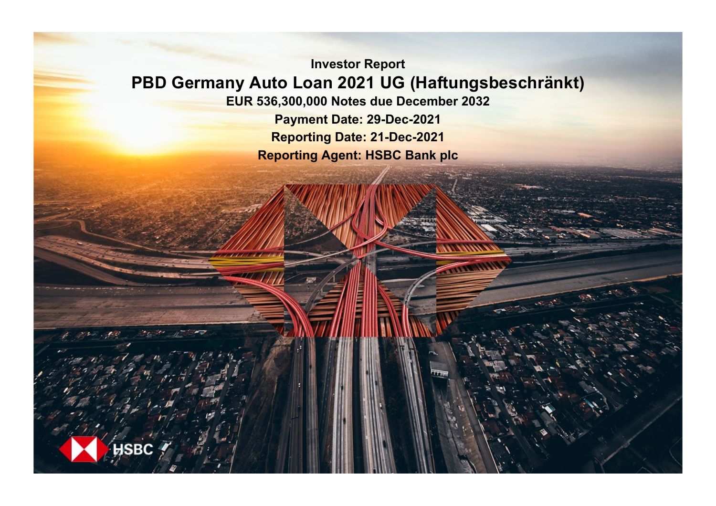**Investor Report PBD Germany Auto Loan 2021 UG (Haftungsbeschränkt) EUR 536,300,000 Notes due December 2032 Payment Date: 29-Dec-2021**

**Reporting Date: 21-Dec-2021 Reporting Agent: HSBC Bank plc**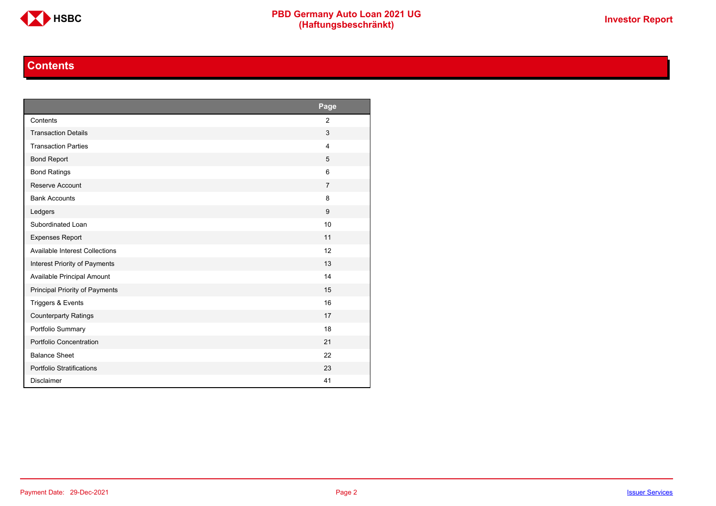

# **Contents**

<span id="page-1-0"></span>

|                                       | Page           |
|---------------------------------------|----------------|
| Contents                              | $\overline{2}$ |
| <b>Transaction Details</b>            | 3              |
| <b>Transaction Parties</b>            | $\overline{4}$ |
| <b>Bond Report</b>                    | 5              |
| <b>Bond Ratings</b>                   | 6              |
| Reserve Account                       | $\overline{7}$ |
| <b>Bank Accounts</b>                  | 8              |
| Ledgers                               | 9              |
| Subordinated Loan                     | 10             |
| <b>Expenses Report</b>                | 11             |
| <b>Available Interest Collections</b> | 12             |
| Interest Priority of Payments         | 13             |
| Available Principal Amount            | 14             |
| Principal Priority of Payments        | 15             |
| Triggers & Events                     | 16             |
| <b>Counterparty Ratings</b>           | 17             |
| Portfolio Summary                     | 18             |
| Portfolio Concentration               | 21             |
| <b>Balance Sheet</b>                  | 22             |
| Portfolio Stratifications             | 23             |
| <b>Disclaimer</b>                     | 41             |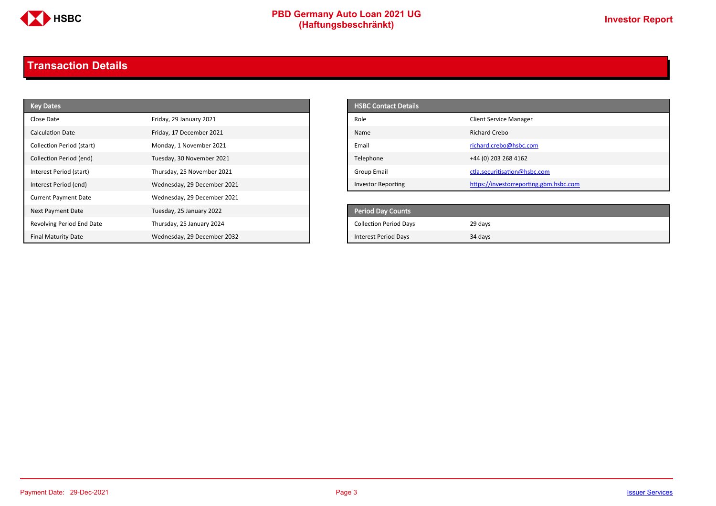

# **PBD Germany Auto Loan 2021 UG**<br>
(Haftungsbeschränkt)<br>
This area of the CHSD CHA (Haftungsbeschränkt)

# <span id="page-2-0"></span>**Transaction Details**

| <b>Key Dates</b>            |                             | <b>HSBC Contact Details</b>   |                                        |
|-----------------------------|-----------------------------|-------------------------------|----------------------------------------|
| Close Date                  | Friday, 29 January 2021     | Role                          | <b>Client Service Manager</b>          |
| <b>Calculation Date</b>     | Friday, 17 December 2021    | Name                          | <b>Richard Crebo</b>                   |
| Collection Period (start)   | Monday, 1 November 2021     | Email                         | richard.crebo@hsbc.com                 |
| Collection Period (end)     | Tuesday, 30 November 2021   | Telephone                     | +44 (0) 203 268 4162                   |
| Interest Period (start)     | Thursday, 25 November 2021  | Group Email                   | ctla.securitisation@hsbc.com           |
| Interest Period (end)       | Wednesday, 29 December 2021 | <b>Investor Reporting</b>     | https://investorreporting.gbm.hsbc.com |
| <b>Current Payment Date</b> | Wednesday, 29 December 2021 |                               |                                        |
| Next Payment Date           | Tuesday, 25 January 2022    | <b>Period Day Counts</b>      |                                        |
| Revolving Period End Date   | Thursday, 25 January 2024   | <b>Collection Period Days</b> | 29 days                                |
| <b>Final Maturity Date</b>  | Wednesday, 29 December 2032 | <b>Interest Period Days</b>   | 34 days                                |

| <b>HSBC Contact Details</b> |                                        |
|-----------------------------|----------------------------------------|
| Role                        | <b>Client Service Manager</b>          |
| Name                        | Richard Crebo                          |
| Email                       | richard.crebo@hsbc.com                 |
| Telephone                   | +44 (0) 203 268 4162                   |
| Group Email                 | ctla.securitisation@hsbc.com           |
| <b>Investor Reporting</b>   | https://investorreporting.gbm.hsbc.com |

| <b>Period Day Counts</b>      |         |
|-------------------------------|---------|
| <b>Collection Period Days</b> | 29 days |
| <b>Interest Period Days</b>   | 34 days |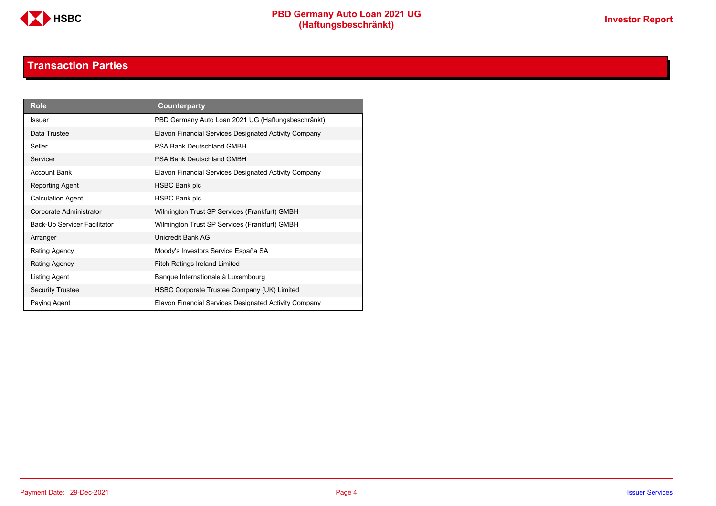

# **Transaction Parties**

<span id="page-3-0"></span>

| <b>Role</b>                  | <b>Counterparty</b>                                   |
|------------------------------|-------------------------------------------------------|
| <b>Issuer</b>                | PBD Germany Auto Loan 2021 UG (Haftungsbeschränkt)    |
| Data Trustee                 | Elavon Financial Services Designated Activity Company |
| Seller                       | PSA Bank Deutschland GMBH                             |
| Servicer                     | PSA Bank Deutschland GMBH                             |
| <b>Account Bank</b>          | Elavon Financial Services Designated Activity Company |
| Reporting Agent              | <b>HSBC Bank plc</b>                                  |
| <b>Calculation Agent</b>     | <b>HSBC Bank plc</b>                                  |
| Corporate Administrator      | Wilmington Trust SP Services (Frankfurt) GMBH         |
| Back-Up Servicer Facilitator | Wilmington Trust SP Services (Frankfurt) GMBH         |
| Arranger                     | Unicredit Bank AG                                     |
| Rating Agency                | Moody's Investors Service España SA                   |
| Rating Agency                | <b>Fitch Ratings Ireland Limited</b>                  |
| Listing Agent                | Banque Internationale à Luxembourg                    |
| <b>Security Trustee</b>      | HSBC Corporate Trustee Company (UK) Limited           |
| Paying Agent                 | Elavon Financial Services Designated Activity Company |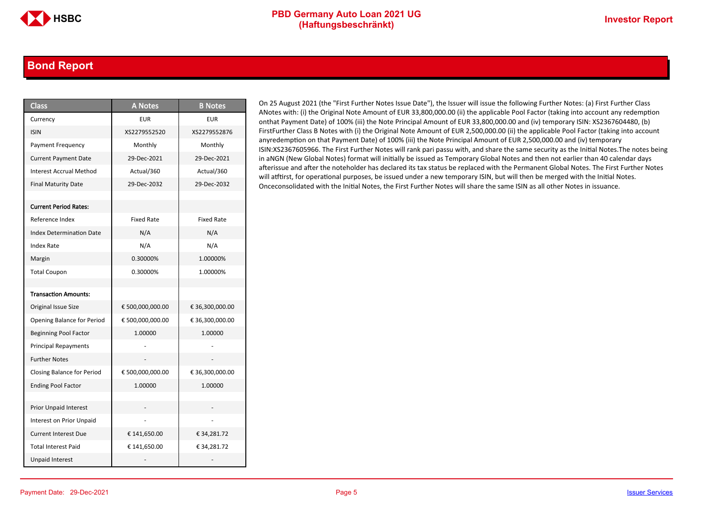### <span id="page-4-0"></span>**Bond Report**

| <b>Class</b>                      | <b>A Notes</b>    | <b>B</b> Notes    |
|-----------------------------------|-------------------|-------------------|
| Currency                          | <b>EUR</b>        | <b>EUR</b>        |
| <b>ISIN</b>                       | XS2279552520      | XS2279552876      |
| Payment Frequency                 | Monthly           | Monthly           |
| <b>Current Payment Date</b>       | 29-Dec-2021       | 29-Dec-2021       |
| <b>Interest Accrual Method</b>    | Actual/360        | Actual/360        |
| <b>Final Maturity Date</b>        | 29-Dec-2032       | 29-Dec-2032       |
|                                   |                   |                   |
| <b>Current Period Rates:</b>      |                   |                   |
| Reference Index                   | <b>Fixed Rate</b> | <b>Fixed Rate</b> |
| <b>Index Determination Date</b>   | N/A               | N/A               |
| Index Rate                        | N/A               | N/A               |
| Margin                            | 0.30000%          | 1.00000%          |
| <b>Total Coupon</b>               | 0.30000%          | 1.00000%          |
|                                   |                   |                   |
| <b>Transaction Amounts:</b>       |                   |                   |
| Original Issue Size               | € 500,000,000.00  | € 36,300,000.00   |
| Opening Balance for Period        | € 500,000,000.00  | € 36,300,000.00   |
| <b>Beginning Pool Factor</b>      | 1.00000           | 1.00000           |
| <b>Principal Repayments</b>       |                   |                   |
| <b>Further Notes</b>              |                   |                   |
| <b>Closing Balance for Period</b> | € 500,000,000.00  | € 36,300,000.00   |
| <b>Ending Pool Factor</b>         | 1.00000           | 1.00000           |
|                                   |                   |                   |
| Prior Unpaid Interest             |                   |                   |
| Interest on Prior Unpaid          |                   |                   |
| <b>Current Interest Due</b>       | € 141,650.00      | € 34,281.72       |
| <b>Total Interest Paid</b>        | € 141,650.00      | €34,281.72        |
| <b>Unpaid Interest</b>            |                   |                   |

On 25 August 2021 (the "First Further Notes Issue Date"), the Issuer will issue the following Further Notes: (a) First Further Class ANotes with: (i) the Original Note Amount of EUR 33,800,000.00 (ii) the applicable Pool Factor (taking into account any redemption onthat Payment Date) of 100% (iii) the Note Principal Amount of EUR 33,800,000.00 and (iv) temporary ISIN: XS2367604480, (b) FirstFurther Class B Notes with (i) the Original Note Amount of EUR 2,500,000.00 (ii) the applicable Pool Factor (taking into account anyredemption on that Payment Date) of 100% (iii) the Note Principal Amount of EUR 2,500,000.00 and (iv) temporary ISIN:XS2367605966. The First Further Notes will rank pari passu with, and share the same security as the Initial Notes.The notes being in aNGN (New Global Notes) format will initially be issued as Temporary Global Notes and then not earlier than 40 calendar days afterissue and after the noteholder has declared its tax status be replaced with the Permanent Global Notes. The First Further Notes will atftirst, for operational purposes, be issued under a new temporary ISIN, but will then be merged with the Initial Notes. Onceconsolidated with the Initial Notes, the First Further Notes will share the same ISIN as all other Notes in issuance.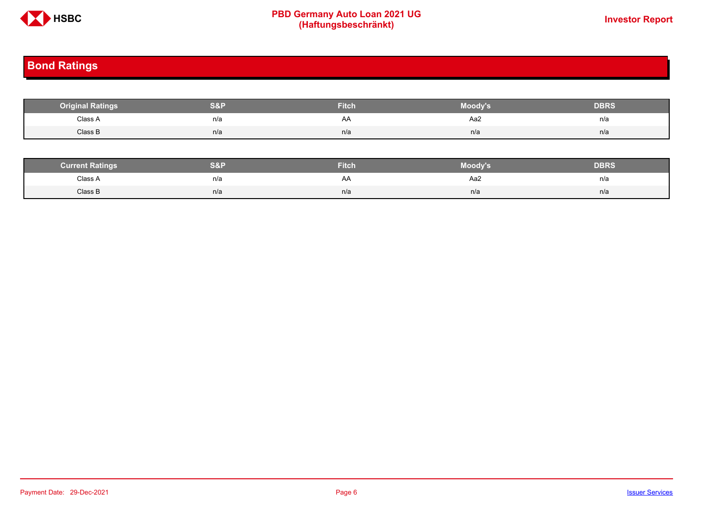

# **PBD Germany Auto Loan 2021 UG**<br>
(Haftungsbeschränkt)<br>
This area of the CHSD CHA (Haftungsbeschränkt)

# <span id="page-5-0"></span>**Bond Ratings**

| <b>Original Ratings</b> | S&F | <b>Fitch</b> | Moody's | <b>DBRS</b> |
|-------------------------|-----|--------------|---------|-------------|
| Class A<br>.            | n/a | AA           | Aa2     | n/a         |
| Class B                 | n/a | n/a          | n/a     | n/a         |

| <b><i>Surrent Ratings</i></b> | 0.91<br>>I≏∃i | <b>Fitch</b> | Moody's | DERS. |
|-------------------------------|---------------|--------------|---------|-------|
| Class A<br>.                  | n/a           | A۴           | Aa2     | n/a   |
| Class B                       | n/a           | n/a          | n/a     | n/a   |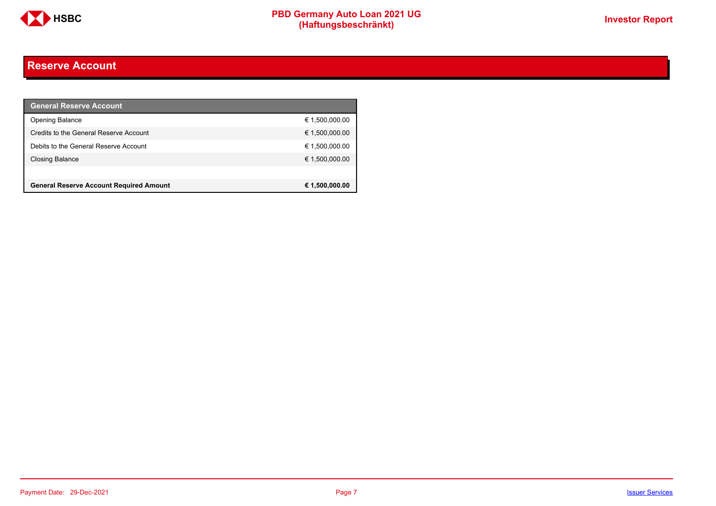

# <span id="page-6-0"></span>**Reserve Account**

| <b>General Reserve Account</b>                 |                |
|------------------------------------------------|----------------|
| <b>Opening Balance</b>                         | € 1,500,000.00 |
| Credits to the General Reserve Account         | € 1,500,000.00 |
| Debits to the General Reserve Account          | € 1,500,000.00 |
| Closing Balance                                | € 1,500,000.00 |
|                                                |                |
| <b>General Reserve Account Required Amount</b> | € 1,500,000.00 |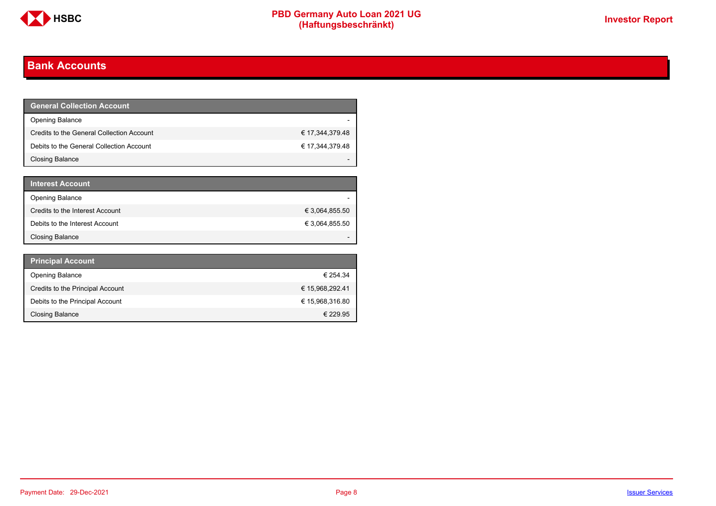

# <span id="page-7-0"></span>**Bank Accounts**

| <b>General Collection Account</b>         |                 |
|-------------------------------------------|-----------------|
| <b>Opening Balance</b>                    |                 |
| Credits to the General Collection Account | € 17,344,379.48 |
| Debits to the General Collection Account  | € 17,344,379.48 |
| Closing Balance                           |                 |

| <b>Interest Account</b>         |                |
|---------------------------------|----------------|
| <b>Opening Balance</b>          |                |
| Credits to the Interest Account | € 3,064,855.50 |
| Debits to the Interest Account  | € 3,064,855.50 |
| <b>Closing Balance</b>          |                |

| <b>Principal Account</b>         |                 |
|----------------------------------|-----------------|
| <b>Opening Balance</b>           | € 254.34        |
| Credits to the Principal Account | € 15,968,292.41 |
| Debits to the Principal Account  | € 15,968,316.80 |
| <b>Closing Balance</b>           | € 229.95        |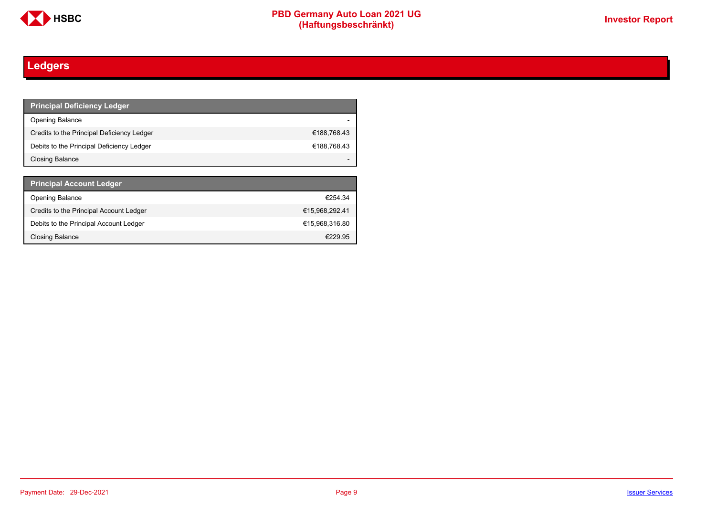

# <span id="page-8-0"></span>**Ledgers**

| <b>Principal Deficiency Ledger</b>         |             |
|--------------------------------------------|-------------|
| Opening Balance                            |             |
| Credits to the Principal Deficiency Ledger | €188,768.43 |
| Debits to the Principal Deficiency Ledger  | €188,768.43 |
| Closing Balance                            |             |

| <b>Principal Account Ledger</b>         |                |
|-----------------------------------------|----------------|
| <b>Opening Balance</b>                  | €254.34        |
| Credits to the Principal Account Ledger | €15.968.292.41 |
| Debits to the Principal Account Ledger  | €15.968.316.80 |
| <b>Closing Balance</b>                  | €229.95        |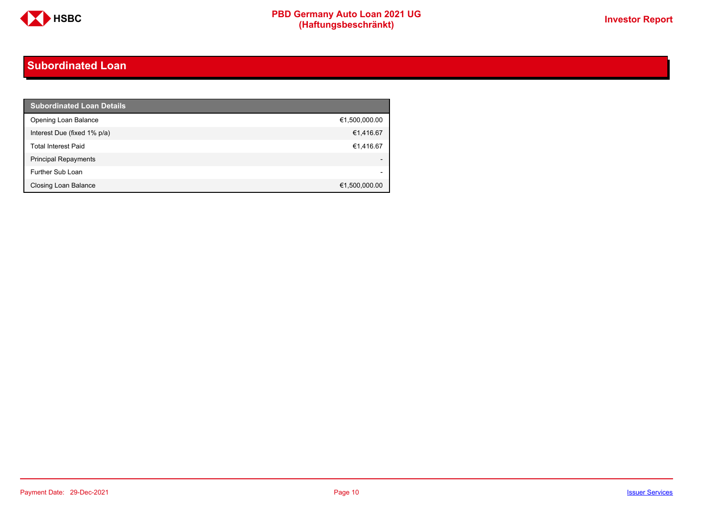

# <span id="page-9-0"></span>**Subordinated Loan**

| <b>Subordinated Loan Details</b> |               |
|----------------------------------|---------------|
| Opening Loan Balance             | €1,500,000.00 |
| Interest Due (fixed 1% p/a)      | €1,416.67     |
| <b>Total Interest Paid</b>       | €1,416.67     |
| <b>Principal Repayments</b>      |               |
| Further Sub Loan                 |               |
| <b>Closing Loan Balance</b>      | €1,500,000.00 |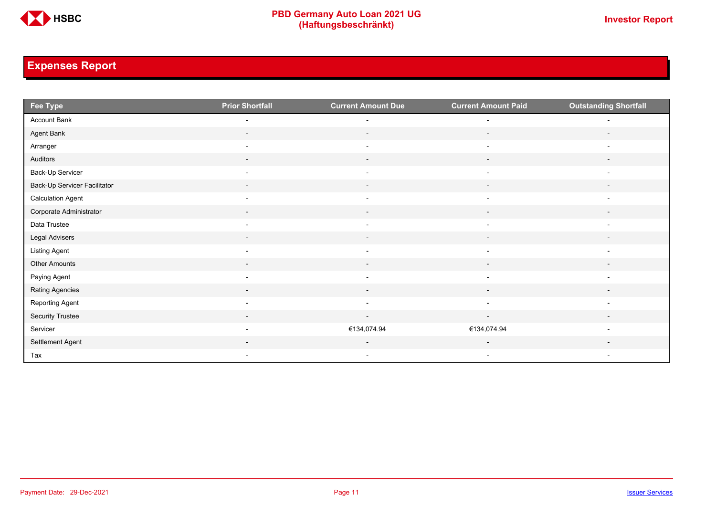

# <span id="page-10-0"></span>**Expenses Report**

| Fee Type                     | <b>Prior Shortfall</b>   | <b>Current Amount Due</b> | <b>Current Amount Paid</b> | <b>Outstanding Shortfall</b> |
|------------------------------|--------------------------|---------------------------|----------------------------|------------------------------|
| Account Bank                 | $\overline{\phantom{a}}$ | $\overline{a}$            | $\overline{a}$             |                              |
| Agent Bank                   | $\sim$                   | $\sim$                    | $\sim$                     | $\sim$                       |
| Arranger                     | $\overline{\phantom{a}}$ | $\overline{\phantom{a}}$  | $\overline{\phantom{a}}$   | $\overline{\phantom{a}}$     |
| Auditors                     | $\sim$                   | $\overline{\phantom{a}}$  | $\sim$                     | $\overline{\phantom{a}}$     |
| Back-Up Servicer             | $\overline{\phantom{0}}$ | $\overline{\phantom{0}}$  | $\overline{\phantom{a}}$   | $\overline{\phantom{0}}$     |
| Back-Up Servicer Facilitator | $\overline{\phantom{a}}$ | $\overline{\phantom{a}}$  | $\overline{\phantom{a}}$   |                              |
| <b>Calculation Agent</b>     | $\overline{\phantom{a}}$ | $\overline{\phantom{a}}$  | $\overline{\phantom{a}}$   | $\overline{\phantom{a}}$     |
| Corporate Administrator      | $\overline{\phantom{a}}$ | $\overline{\phantom{a}}$  | $\sim$                     | $\overline{\phantom{a}}$     |
| Data Trustee                 | $\overline{\phantom{a}}$ | $\overline{\phantom{a}}$  | $\overline{\phantom{a}}$   | $\overline{\phantom{a}}$     |
| Legal Advisers               | $\sim$                   | $\sim$                    | $\sim$                     | $\sim$                       |
| <b>Listing Agent</b>         |                          |                           |                            |                              |
| Other Amounts                |                          |                           |                            |                              |
| Paying Agent                 | $\overline{\phantom{a}}$ | $\blacksquare$            | $\overline{\phantom{a}}$   | $\overline{\phantom{a}}$     |
| Rating Agencies              | $\overline{\phantom{a}}$ | $\overline{\phantom{a}}$  | $\sim$                     | $\overline{\phantom{a}}$     |
| Reporting Agent              | $\overline{\phantom{a}}$ | $\sim$                    | $\overline{\phantom{a}}$   | $\overline{\phantom{a}}$     |
| <b>Security Trustee</b>      | $\sim$                   | $\sim$                    | $\sim$                     | $\overline{\phantom{a}}$     |
| Servicer                     | $\overline{\phantom{a}}$ | €134,074.94               | €134,074.94                |                              |
| Settlement Agent             |                          |                           |                            |                              |
| Tax                          | $\overline{\phantom{a}}$ | $\overline{\phantom{a}}$  | $\overline{\phantom{a}}$   | $\overline{\phantom{a}}$     |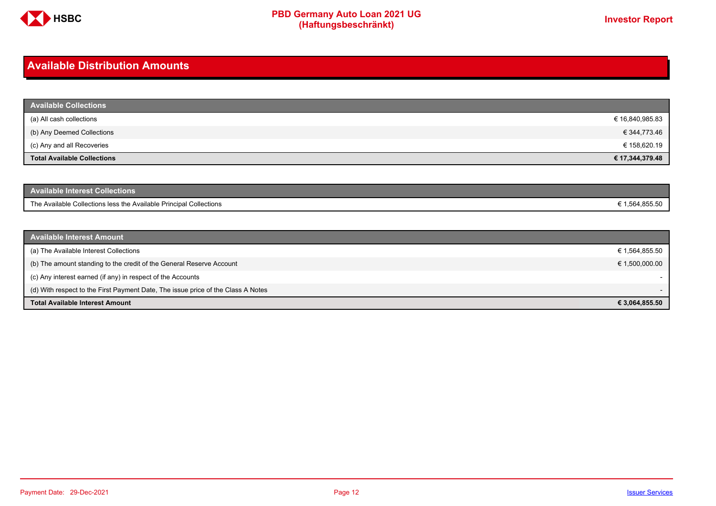

# <span id="page-11-0"></span>**Available Distribution Amounts**

| <b>Available Collections</b>       |                 |
|------------------------------------|-----------------|
| (a) All cash collections           | € 16,840,985.83 |
| (b) Any Deemed Collections         | € 344,773.46    |
| (c) Any and all Recoveries         | € 158,620.19    |
| <b>Total Available Collections</b> | € 17,344,379.48 |

| Available Interest Collections <b>\</b>                            |              |
|--------------------------------------------------------------------|--------------|
| The Available Collections less the Available Principal Collections | 1.564.855.50 |

| <b>Available Interest Amount</b>                                                 |                          |
|----------------------------------------------------------------------------------|--------------------------|
| (a) The Available Interest Collections                                           | € 1,564,855.50           |
| (b) The amount standing to the credit of the General Reserve Account             | € 1,500,000.00           |
| (c) Any interest earned (if any) in respect of the Accounts                      |                          |
| (d) With respect to the First Payment Date, The issue price of the Class A Notes | $\overline{\phantom{0}}$ |
| <b>Total Available Interest Amount</b>                                           | € 3,064,855.50           |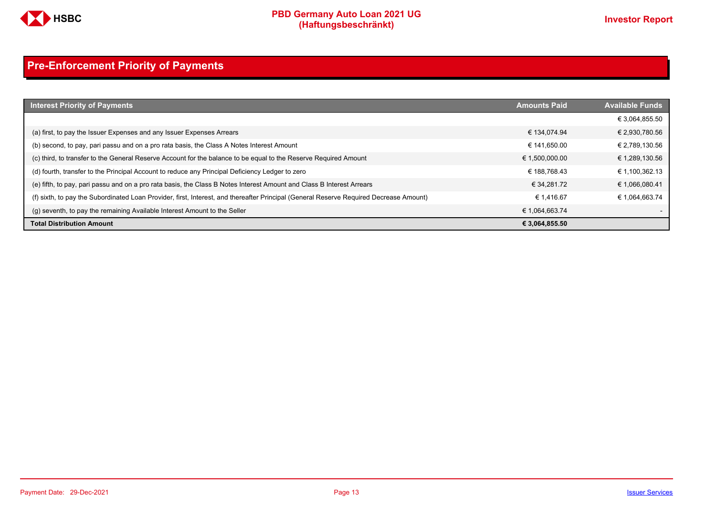

# <span id="page-12-0"></span>**Pre-Enforcement Priority of Payments**

| <b>Interest Priority of Payments</b>                                                                                                   | <b>Amounts Paid</b> | <b>Available Funds</b> |
|----------------------------------------------------------------------------------------------------------------------------------------|---------------------|------------------------|
|                                                                                                                                        |                     | € 3,064,855.50         |
| (a) first, to pay the Issuer Expenses and any Issuer Expenses Arrears                                                                  | € 134.074.94        | € 2,930,780.56         |
| (b) second, to pay, pari passu and on a pro rata basis, the Class A Notes Interest Amount                                              | € 141.650.00        | € 2,789,130.56         |
| (c) third, to transfer to the General Reserve Account for the balance to be equal to the Reserve Required Amount                       | € 1,500,000.00      | € 1,289,130.56         |
| (d) fourth, transfer to the Principal Account to reduce any Principal Deficiency Ledger to zero                                        | € 188.768.43        | € 1,100,362.13         |
| (e) fifth, to pay, pari passu and on a pro rata basis, the Class B Notes Interest Amount and Class B Interest Arrears                  | € 34.281.72         | € 1,066,080.41         |
| (f) sixth, to pay the Subordinated Loan Provider, first, Interest, and thereafter Principal (General Reserve Required Decrease Amount) | € 1.416.67          | € 1.064.663.74         |
| (g) seventh, to pay the remaining Available Interest Amount to the Seller                                                              | € 1,064,663.74      |                        |
| <b>Total Distribution Amount</b>                                                                                                       | € 3,064,855.50      |                        |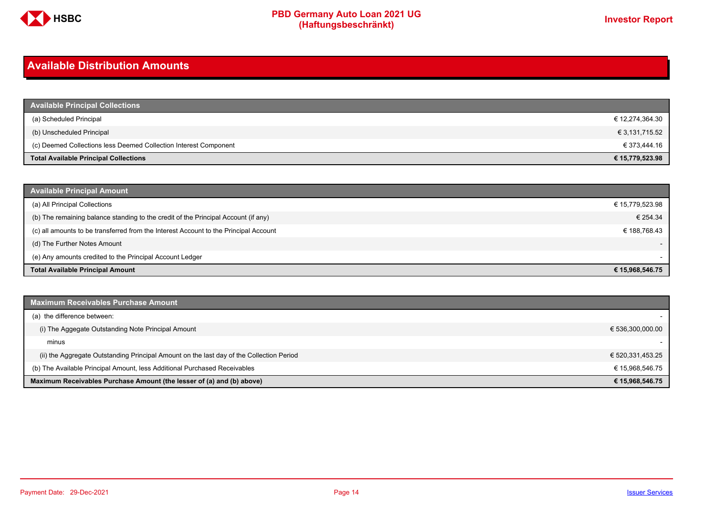

# <span id="page-13-0"></span>**Available Distribution Amounts**

| <b>Available Principal Collections</b>                           |                 |
|------------------------------------------------------------------|-----------------|
| (a) Scheduled Principal                                          | € 12,274,364.30 |
| (b) Unscheduled Principal                                        | € 3,131,715.52  |
| (c) Deemed Collections less Deemed Collection Interest Component | € 373,444.16    |
| <b>Total Available Principal Collections</b>                     | € 15,779,523.98 |

| <b>Available Principal Amount</b>                                                    |                          |
|--------------------------------------------------------------------------------------|--------------------------|
| (a) All Principal Collections                                                        | € 15,779,523.98          |
| (b) The remaining balance standing to the credit of the Principal Account (if any)   | € 254.34                 |
| (c) all amounts to be transferred from the Interest Account to the Principal Account | € 188.768.43             |
| (d) The Further Notes Amount                                                         | $\overline{\phantom{a}}$ |
| (e) Any amounts credited to the Principal Account Ledger                             |                          |
| <b>Total Available Principal Amount</b>                                              | € 15,968,546.75          |

| <b>Maximum Receivables Purchase Amount</b>                                               |                  |
|------------------------------------------------------------------------------------------|------------------|
| (a) the difference between:                                                              |                  |
| (i) The Aggegate Outstanding Note Principal Amount                                       | € 536,300,000.00 |
| minus                                                                                    |                  |
| (ii) the Aggregate Outstanding Principal Amount on the last day of the Collection Period | € 520,331,453.25 |
| (b) The Available Principal Amount, less Additional Purchased Receivables                | € 15,968,546.75  |
| Maximum Receivables Purchase Amount (the lesser of (a) and (b) above)                    | € 15,968,546.75  |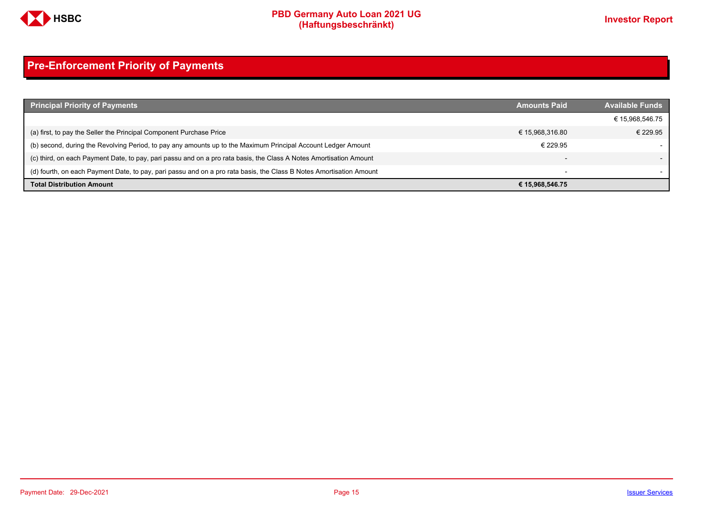

# <span id="page-14-0"></span>**Pre-Enforcement Priority of Payments**

| <b>Principal Priority of Payments</b>                                                                               | <b>Amounts Paid</b>      | <b>Available Funds</b> |
|---------------------------------------------------------------------------------------------------------------------|--------------------------|------------------------|
|                                                                                                                     |                          | € 15,968,546.75        |
| (a) first, to pay the Seller the Principal Component Purchase Price                                                 | € 15,968,316.80          | € 229.95               |
| (b) second, during the Revolving Period, to pay any amounts up to the Maximum Principal Account Ledger Amount       | € 229.95                 |                        |
| (c) third, on each Payment Date, to pay, pari passu and on a pro rata basis, the Class A Notes Amortisation Amount  | $\overline{\phantom{0}}$ |                        |
| (d) fourth, on each Payment Date, to pay, pari passu and on a pro rata basis, the Class B Notes Amortisation Amount | $\overline{\phantom{a}}$ |                        |
| <b>Total Distribution Amount</b>                                                                                    | € 15,968,546.75          |                        |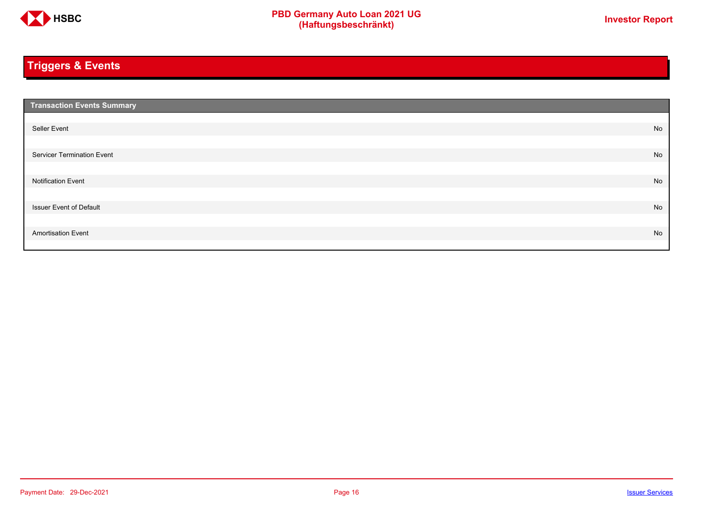

# <span id="page-15-0"></span>**Triggers & Events**

| <b>Transaction Events Summary</b> |    |
|-----------------------------------|----|
|                                   |    |
| Seller Event                      | No |
|                                   |    |
| Servicer Termination Event        | No |
|                                   |    |
| <b>Notification Event</b>         | No |
|                                   |    |
| <b>Issuer Event of Default</b>    | No |
|                                   |    |
| <b>Amortisation Event</b>         | No |
|                                   |    |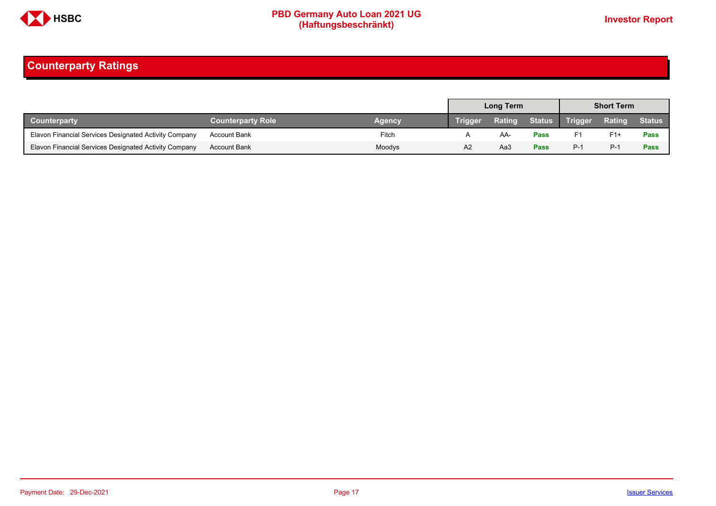

# <span id="page-16-0"></span>**Counterparty Ratings**

|                                                       |                          |        | Long Term      |        |             | <b>Short Term</b> |               |               |
|-------------------------------------------------------|--------------------------|--------|----------------|--------|-------------|-------------------|---------------|---------------|
| <b>Counterparty</b>                                   | <b>Counterparty Role</b> | Agency | <b>Trigger</b> | Rating |             | Status Trigger    | <b>Rating</b> | <b>Status</b> |
| Elavon Financial Services Designated Activity Company | <b>Account Bank</b>      | Fitch  |                | AA-    | Pass        | F1                | $F1+$         | Pass          |
| Elavon Financial Services Designated Activity Company | <b>Account Bank</b>      | Moodys | A2             | АаЗ    | <b>Pass</b> | $P-1$             | P-1           | Pass          |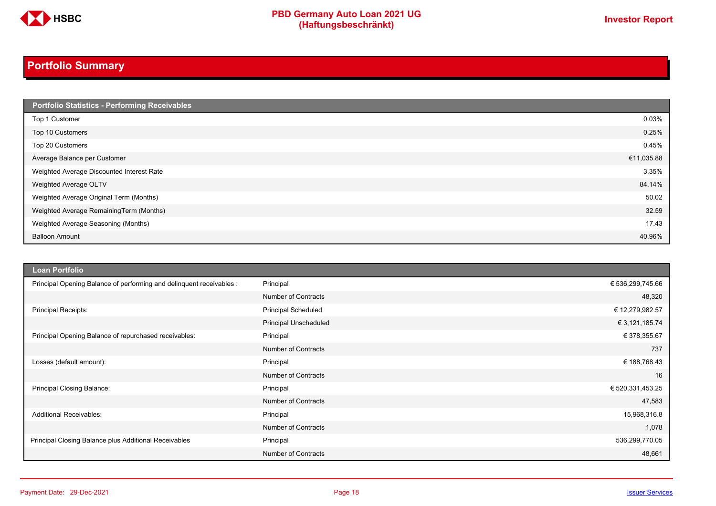

# <span id="page-17-0"></span>**Portfolio Summary**

| <b>Portfolio Statistics - Performing Receivables</b> |            |
|------------------------------------------------------|------------|
| Top 1 Customer                                       | 0.03%      |
| Top 10 Customers                                     | 0.25%      |
| Top 20 Customers                                     | 0.45%      |
| Average Balance per Customer                         | €11,035.88 |
| Weighted Average Discounted Interest Rate            | 3.35%      |
| Weighted Average OLTV                                | 84.14%     |
| Weighted Average Original Term (Months)              | 50.02      |
| Weighted Average RemainingTerm (Months)              | 32.59      |
| Weighted Average Seasoning (Months)                  | 17.43      |
| <b>Balloon Amount</b>                                | 40.96%     |

| <b>Loan Portfolio</b>                                                |                              |                  |
|----------------------------------------------------------------------|------------------------------|------------------|
| Principal Opening Balance of performing and delinquent receivables : | Principal                    | € 536,299,745.66 |
|                                                                      | <b>Number of Contracts</b>   | 48,320           |
| <b>Principal Receipts:</b>                                           | <b>Principal Scheduled</b>   | € 12,279,982.57  |
|                                                                      | <b>Principal Unscheduled</b> | € 3,121,185.74   |
| Principal Opening Balance of repurchased receivables:                | Principal                    | € 378,355.67     |
|                                                                      | <b>Number of Contracts</b>   | 737              |
| Losses (default amount):                                             | Principal                    | € 188,768.43     |
|                                                                      | <b>Number of Contracts</b>   | 16               |
| Principal Closing Balance:                                           | Principal                    | € 520,331,453.25 |
|                                                                      | <b>Number of Contracts</b>   | 47,583           |
| <b>Additional Receivables:</b>                                       | Principal                    | 15,968,316.8     |
|                                                                      | <b>Number of Contracts</b>   | 1,078            |
| Principal Closing Balance plus Additional Receivables                | Principal                    | 536,299,770.05   |
|                                                                      | <b>Number of Contracts</b>   | 48,661           |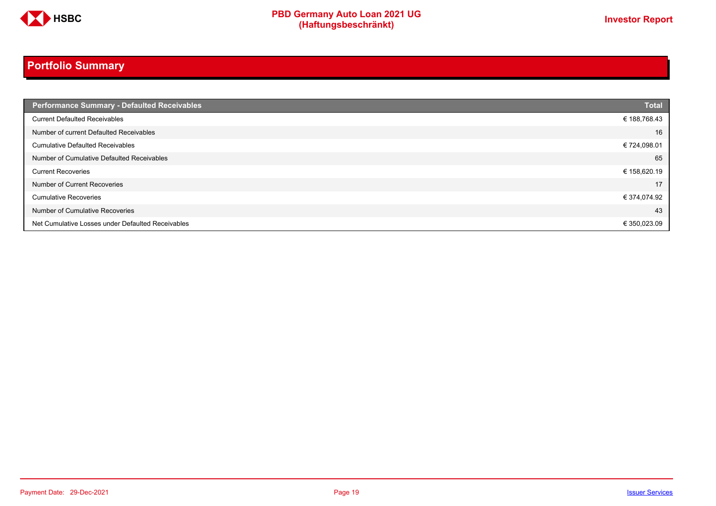

# **Portfolio Summary**

| <b>Performance Summary - Defaulted Receivables</b> | <b>Total</b> |
|----------------------------------------------------|--------------|
| <b>Current Defaulted Receivables</b>               | € 188,768.43 |
| Number of current Defaulted Receivables            | 16           |
| <b>Cumulative Defaulted Receivables</b>            | € 724,098.01 |
| Number of Cumulative Defaulted Receivables         | 65           |
| <b>Current Recoveries</b>                          | € 158,620.19 |
| Number of Current Recoveries                       | 17           |
| <b>Cumulative Recoveries</b>                       | € 374,074.92 |
| Number of Cumulative Recoveries                    | 43           |
| Net Cumulative Losses under Defaulted Receivables  | € 350,023.09 |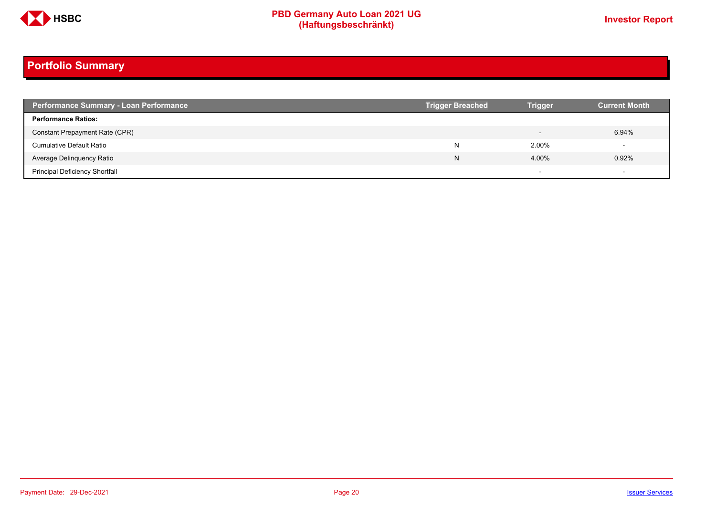

# **Portfolio Summary**

| <b>Performance Summary - Loan Performance</b> | <b>Trigger Breached</b> | <b>Trigger</b>           | <b>Current Month</b> |
|-----------------------------------------------|-------------------------|--------------------------|----------------------|
| <b>Performance Ratios:</b>                    |                         |                          |                      |
| Constant Prepayment Rate (CPR)                |                         | $\overline{\phantom{0}}$ | 6.94%                |
| <b>Cumulative Default Ratio</b>               | N                       | 2.00%                    |                      |
| Average Delinquency Ratio                     | N                       | 4.00%                    | 0.92%                |
| <b>Principal Deficiency Shortfall</b>         |                         | $\overline{\phantom{0}}$ |                      |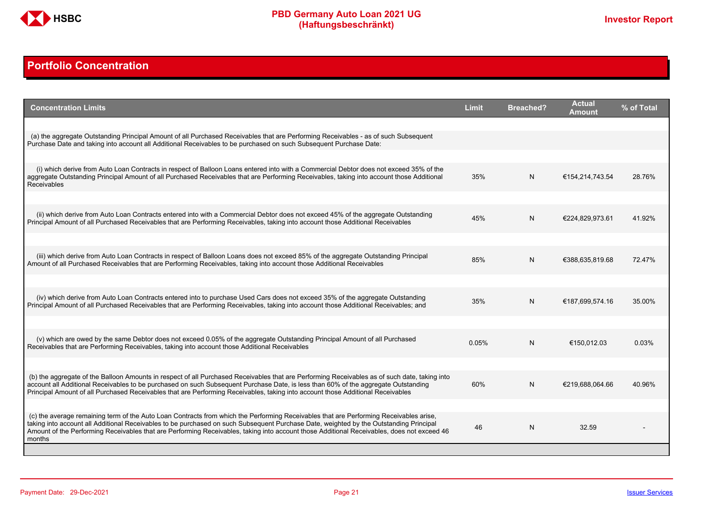

# <span id="page-20-0"></span>**Portfolio Concentration**

| <b>Concentration Limits</b>                                                                                                                                                                                                                                                                                                                                                                                                              | <b>Limit</b> | <b>Breached?</b> | <b>Actual</b><br>Amount | % of Total |
|------------------------------------------------------------------------------------------------------------------------------------------------------------------------------------------------------------------------------------------------------------------------------------------------------------------------------------------------------------------------------------------------------------------------------------------|--------------|------------------|-------------------------|------------|
| (a) the aggregate Outstanding Principal Amount of all Purchased Receivables that are Performing Receivables - as of such Subsequent<br>Purchase Date and taking into account all Additional Receivables to be purchased on such Subsequent Purchase Date:                                                                                                                                                                                |              |                  |                         |            |
| (i) which derive from Auto Loan Contracts in respect of Balloon Loans entered into with a Commercial Debtor does not exceed 35% of the<br>aggregate Outstanding Principal Amount of all Purchased Receivables that are Performing Receivables, taking into account those Additional                                                                                                                                                      | 35%          | N                | €154,214,743.54         | 28.76%     |
| <b>Receivables</b>                                                                                                                                                                                                                                                                                                                                                                                                                       |              |                  |                         |            |
| (ii) which derive from Auto Loan Contracts entered into with a Commercial Debtor does not exceed 45% of the aggregate Outstanding<br>Principal Amount of all Purchased Receivables that are Performing Receivables, taking into account those Additional Receivables                                                                                                                                                                     | 45%          | N                | €224,829,973.61         | 41.92%     |
| (iii) which derive from Auto Loan Contracts in respect of Balloon Loans does not exceed 85% of the aggregate Outstanding Principal<br>Amount of all Purchased Receivables that are Performing Receivables, taking into account those Additional Receivables                                                                                                                                                                              | 85%          | N                | €388,635,819.68         | 72.47%     |
| (iv) which derive from Auto Loan Contracts entered into to purchase Used Cars does not exceed 35% of the aggregate Outstanding                                                                                                                                                                                                                                                                                                           |              |                  |                         |            |
| Principal Amount of all Purchased Receivables that are Performing Receivables, taking into account those Additional Receivables; and                                                                                                                                                                                                                                                                                                     | 35%          | N                | €187,699,574.16         | 35.00%     |
| (v) which are owed by the same Debtor does not exceed 0.05% of the aggregate Outstanding Principal Amount of all Purchased<br>Receivables that are Performing Receivables, taking into account those Additional Receivables                                                                                                                                                                                                              | 0.05%        | N                | €150.012.03             | 0.03%      |
| (b) the aggregate of the Balloon Amounts in respect of all Purchased Receivables that are Performing Receivables as of such date, taking into                                                                                                                                                                                                                                                                                            |              |                  |                         |            |
| account all Additional Receivables to be purchased on such Subsequent Purchase Date, is less than 60% of the aggregate Outstanding<br>Principal Amount of all Purchased Receivables that are Performing Receivables, taking into account those Additional Receivables                                                                                                                                                                    | 60%          | N                | €219,688,064.66         | 40.96%     |
| (c) the average remaining term of the Auto Loan Contracts from which the Performing Receivables that are Performing Receivables arise.<br>taking into account all Additional Receivables to be purchased on such Subsequent Purchase Date, weighted by the Outstanding Principal<br>Amount of the Performing Receivables that are Performing Receivables, taking into account those Additional Receivables, does not exceed 46<br>months | 46           | N                | 32.59                   |            |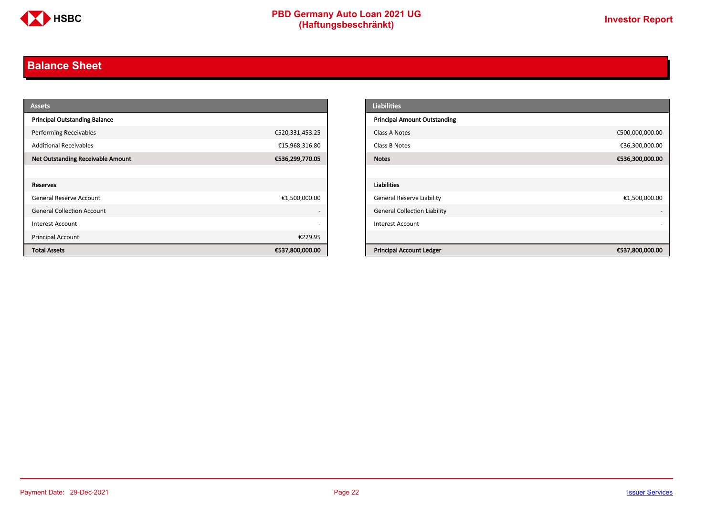

# <span id="page-21-0"></span>**Balance Sheet**

| <b>Assets</b>                            |                          | <b>Liabilities</b>                  |                 |
|------------------------------------------|--------------------------|-------------------------------------|-----------------|
| <b>Principal Outstanding Balance</b>     |                          | <b>Principal Amount Outstanding</b> |                 |
| <b>Performing Receivables</b>            | €520,331,453.25          | Class A Notes                       | €500,000,000.00 |
| <b>Additional Receivables</b>            | €15,968,316.80           | Class B Notes                       | €36,300,000.00  |
| <b>Net Outstanding Receivable Amount</b> | €536,299,770.05          | <b>Notes</b>                        | €536,300,000.00 |
|                                          |                          |                                     |                 |
| Reserves                                 |                          | Liabilities                         |                 |
| General Reserve Account                  | €1,500,000.00            | <b>General Reserve Liability</b>    | €1,500,000.00   |
| <b>General Collection Account</b>        | $\overline{\phantom{a}}$ | <b>General Collection Liability</b> |                 |
| Interest Account                         | $\overline{\phantom{a}}$ | Interest Account                    |                 |
| Principal Account                        | €229.95                  |                                     |                 |
| <b>Total Assets</b>                      | €537,800,000.00          | <b>Principal Account Ledger</b>     | €537,800,000.00 |

| <b>Liabilities</b>                  |                 |
|-------------------------------------|-----------------|
| <b>Principal Amount Outstanding</b> |                 |
| Class A Notes                       | €500,000,000.00 |
| Class B Notes                       | €36,300,000.00  |
| <b>Notes</b>                        | €536,300,000.00 |
|                                     |                 |
| <b>Liabilities</b>                  |                 |
| General Reserve Liability           | €1,500,000.00   |
| <b>General Collection Liability</b> |                 |
| <b>Interest Account</b>             |                 |
|                                     |                 |
| <b>Principal Account Ledger</b>     | €537,800,000.00 |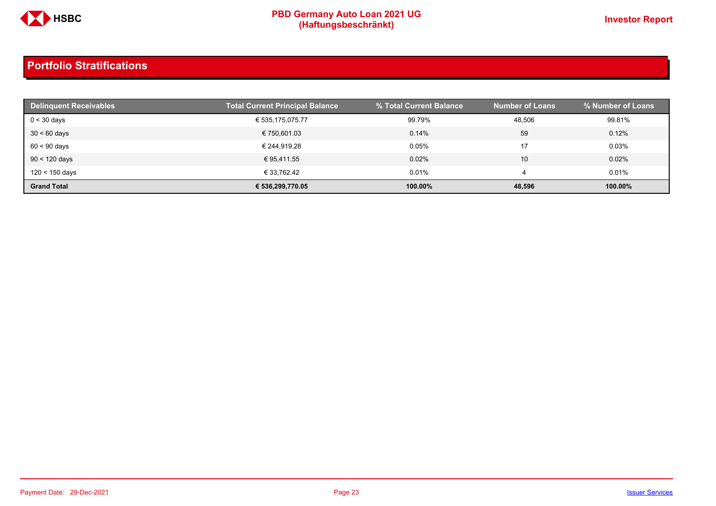

| <b>Delinquent Receivables</b> | <b>Total Current Principal Balance</b> | % Total Current Balance | <b>Number of Loans</b> | % Number of Loans |
|-------------------------------|----------------------------------------|-------------------------|------------------------|-------------------|
| $0 < 30$ days                 | € 535,175,075.77                       | 99.79%                  | 48,506                 | 99.81%            |
| $30 < 60$ days                | € 750,601.03                           | 0.14%                   | 59                     | 0.12%             |
| $60 < 90$ days                | € 244.919.28                           | 0.05%                   | 17                     | 0.03%             |
| $90 < 120$ days               | € 95.411.55                            | 0.02%                   | 10                     | 0.02%             |
| $120 < 150$ days              | € 33.762.42                            | 0.01%                   |                        | 0.01%             |
| <b>Grand Total</b>            | € 536.299.770.05                       | 100.00%                 | 48,596                 | 100.00%           |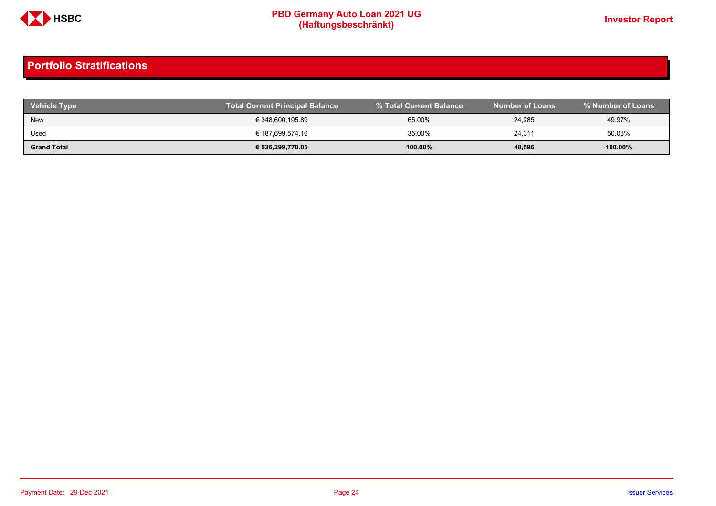

| <b>Vehicle Type</b> | Total Current Principal Balance \ | I % Total Current Balance <b>\</b> | <b>Number of Loans</b> | % Number of Loans |
|---------------------|-----------------------------------|------------------------------------|------------------------|-------------------|
| New                 | € 348,600,195.89                  | 65.00%                             | 24,285                 | 49.97%            |
| Used                | € 187,699,574.16                  | 35.00%                             | 24,311                 | 50.03%            |
| <b>Grand Total</b>  | € 536,299,770.05                  | 100.00%                            | 48,596                 | 100.00%           |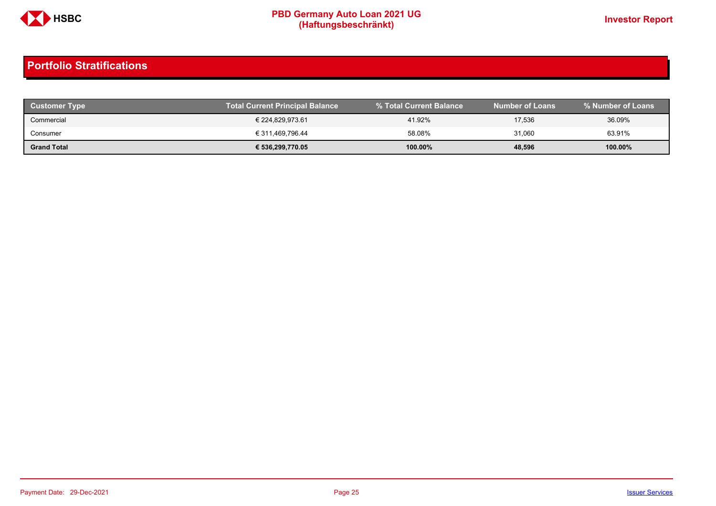

| <b>Customer Type</b> | <b>Total Current Principal Balance</b> |         | <b>Number of Loans</b> | % Number of Loans |
|----------------------|----------------------------------------|---------|------------------------|-------------------|
| Commercial           | € 224,829,973.61                       | 41.92%  | 17,536                 | 36.09%            |
| Consumer             | € 311,469,796.44                       | 58.08%  | 31,060                 | 63.91%            |
| <b>Grand Total</b>   | € 536,299,770.05                       | 100.00% | 48,596                 | 100.00%           |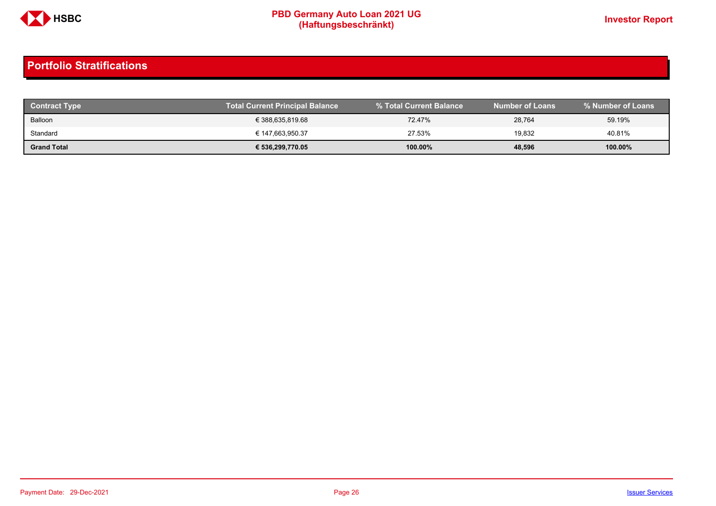

| <b>Contract Type</b> | <b>Total Current Principal Balance</b> |            | <b>Number of Loans</b> | % Number of Loans |
|----------------------|----------------------------------------|------------|------------------------|-------------------|
| Balloon              | € 388,635,819.68                       | 72.47%     | 28,764                 | 59.19%            |
| Standard             | € 147.663.950.37                       | 27.53%     | 19,832                 | 40.81%            |
| <b>Grand Total</b>   | € 536,299,770.05                       | $100.00\%$ | 48,596                 | 100.00%           |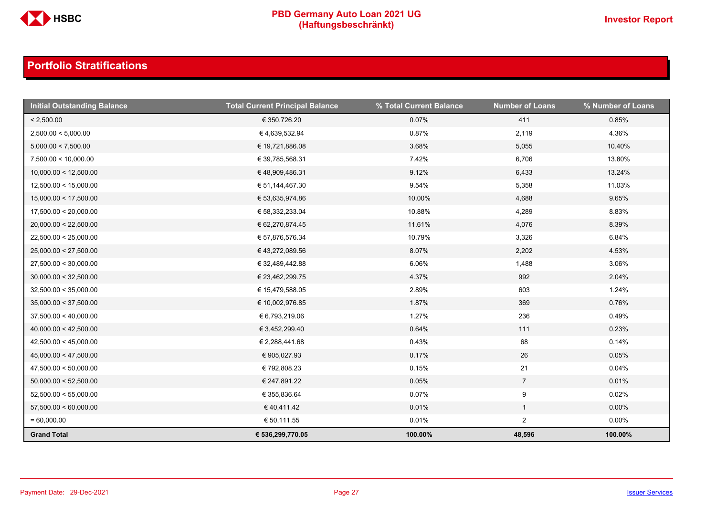

| <b>Initial Outstanding Balance</b> | <b>Total Current Principal Balance</b> | % Total Current Balance | <b>Number of Loans</b> | % Number of Loans |
|------------------------------------|----------------------------------------|-------------------------|------------------------|-------------------|
| < 2,500.00                         | € 350,726.20                           | 0.07%                   | 411                    | 0.85%             |
| 2,500.00 < 5,000.00                | €4,639,532.94                          | 0.87%                   | 2,119                  | 4.36%             |
| 5,000.00 < 7,500.00                | € 19,721,886.08                        | 3.68%                   | 5,055                  | 10.40%            |
| 7,500.00 < 10,000.00               | € 39,785,568.31                        | 7.42%                   | 6,706                  | 13.80%            |
| 10,000.00 < 12,500.00              | €48,909,486.31                         | 9.12%                   | 6,433                  | 13.24%            |
| 12,500.00 < 15,000.00              | € 51,144,467.30                        | 9.54%                   | 5,358                  | 11.03%            |
| 15,000.00 < 17,500.00              | € 53,635,974.86                        | 10.00%                  | 4,688                  | 9.65%             |
| 17,500.00 < 20,000.00              | € 58,332,233.04                        | 10.88%                  | 4,289                  | 8.83%             |
| 20,000.00 < 22,500.00              | € 62,270,874.45                        | 11.61%                  | 4,076                  | 8.39%             |
| 22,500.00 < 25,000.00              | € 57,876,576.34                        | 10.79%                  | 3,326                  | 6.84%             |
| 25,000.00 < 27,500.00              | € 43,272,089.56                        | 8.07%                   | 2,202                  | 4.53%             |
| 27,500.00 < 30,000.00              | € 32,489,442.88                        | 6.06%                   | 1,488                  | 3.06%             |
| 30,000.00 < 32,500.00              | € 23,462,299.75                        | 4.37%                   | 992                    | 2.04%             |
| 32,500.00 < 35,000.00              | € 15,479,588.05                        | 2.89%                   | 603                    | 1.24%             |
| 35,000.00 < 37,500.00              | € 10,002,976.85                        | 1.87%                   | 369                    | 0.76%             |
| 37,500.00 < 40,000.00              | € 6,793,219.06                         | 1.27%                   | 236                    | 0.49%             |
| 40,000.00 < 42,500.00              | € 3,452,299.40                         | 0.64%                   | 111                    | 0.23%             |
| 42,500.00 < 45,000.00              | € 2,288,441.68                         | 0.43%                   | 68                     | 0.14%             |
| 45,000.00 < 47,500.00              | € 905,027.93                           | 0.17%                   | 26                     | 0.05%             |
| 47,500.00 < 50,000.00              | € 792,808.23                           | 0.15%                   | 21                     | 0.04%             |
| 50,000.00 < 52,500.00              | € 247,891.22                           | 0.05%                   | $\overline{7}$         | 0.01%             |
| 52,500.00 < 55,000.00              | € 355,836.64                           | 0.07%                   | 9                      | 0.02%             |
| 57,500.00 < 60,000.00              | €40,411.42                             | 0.01%                   | $\mathbf{1}$           | $0.00\%$          |
| $= 60,000.00$                      | € 50,111.55                            | 0.01%                   | $\overline{2}$         | $0.00\%$          |
| <b>Grand Total</b>                 | € 536,299,770.05                       | 100.00%                 | 48,596                 | 100.00%           |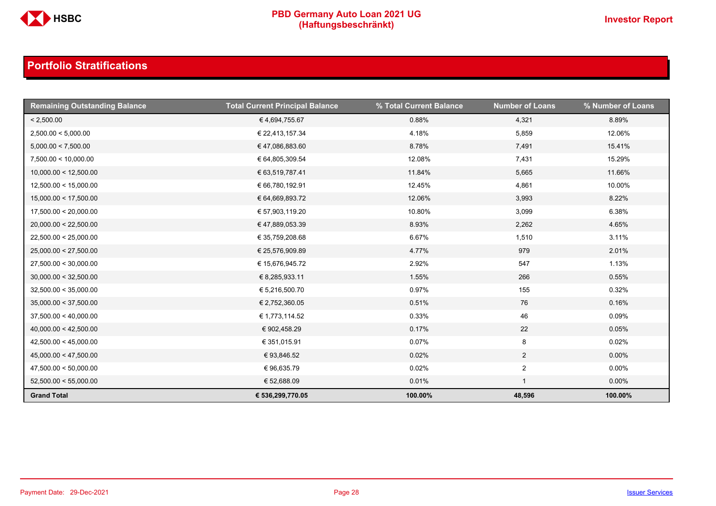

| <b>Remaining Outstanding Balance</b> | <b>Total Current Principal Balance</b> | % Total Current Balance | <b>Number of Loans</b> | % Number of Loans |
|--------------------------------------|----------------------------------------|-------------------------|------------------------|-------------------|
| < 2,500.00                           | €4,694,755.67                          | 0.88%                   | 4,321                  | 8.89%             |
| 2,500.00 < 5,000.00                  | € 22,413,157.34                        | 4.18%                   | 5,859                  | 12.06%            |
| 5,000.00 < 7,500.00                  | €47,086,883.60                         | 8.78%                   | 7,491                  | 15.41%            |
| 7,500.00 < 10,000.00                 | € 64,805,309.54                        | 12.08%                  | 7,431                  | 15.29%            |
| 10,000.00 < 12,500.00                | € 63,519,787.41                        | 11.84%                  | 5,665                  | 11.66%            |
| 12,500.00 < 15,000.00                | € 66,780,192.91                        | 12.45%                  | 4,861                  | 10.00%            |
| 15,000.00 < 17,500.00                | € 64,669,893.72                        | 12.06%                  | 3,993                  | 8.22%             |
| 17,500.00 < 20,000.00                | € 57,903,119.20                        | 10.80%                  | 3,099                  | 6.38%             |
| 20,000.00 < 22,500.00                | €47,889,053.39                         | 8.93%                   | 2,262                  | 4.65%             |
| 22,500.00 < 25,000.00                | € 35,759,208.68                        | 6.67%                   | 1,510                  | 3.11%             |
| 25,000.00 < 27,500.00                | € 25,576,909.89                        | 4.77%                   | 979                    | 2.01%             |
| 27,500.00 < 30,000.00                | € 15,676,945.72                        | 2.92%                   | 547                    | 1.13%             |
| 30,000.00 < 32,500.00                | € 8,285,933.11                         | 1.55%                   | 266                    | 0.55%             |
| 32,500.00 < 35,000.00                | € 5,216,500.70                         | 0.97%                   | 155                    | 0.32%             |
| 35,000.00 < 37,500.00                | € 2,752,360.05                         | 0.51%                   | 76                     | 0.16%             |
| 37,500.00 < 40,000.00                | € 1,773,114.52                         | 0.33%                   | 46                     | 0.09%             |
| 40,000.00 < 42,500.00                | € 902,458.29                           | 0.17%                   | 22                     | 0.05%             |
| 42,500.00 < 45,000.00                | € 351,015.91                           | 0.07%                   | 8                      | 0.02%             |
| 45,000.00 < 47,500.00                | € 93,846.52                            | 0.02%                   | $\overline{a}$         | $0.00\%$          |
| 47,500.00 < 50,000.00                | € 96,635.79                            | 0.02%                   | $\overline{a}$         | $0.00\%$          |
| 52,500.00 < 55,000.00                | € 52,688.09                            | 0.01%                   | $\mathbf{1}$           | $0.00\%$          |
| <b>Grand Total</b>                   | € 536,299,770.05                       | 100.00%                 | 48,596                 | 100.00%           |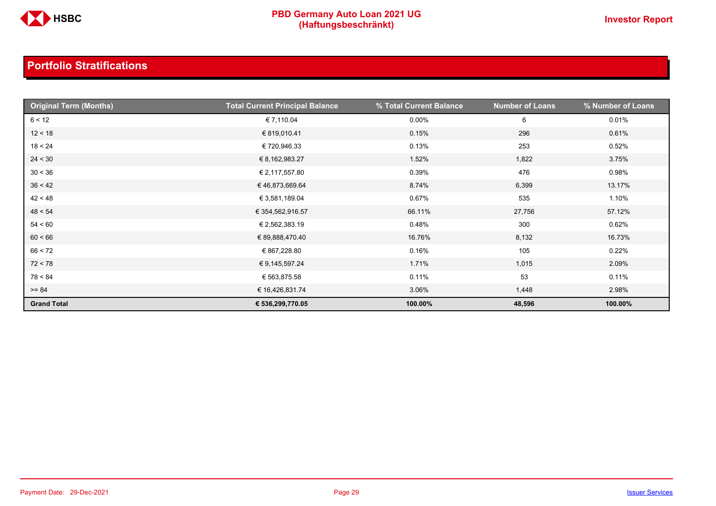

| <b>Original Term (Months)</b> | <b>Total Current Principal Balance</b> | % Total Current Balance | <b>Number of Loans</b> | % Number of Loans |
|-------------------------------|----------------------------------------|-------------------------|------------------------|-------------------|
| 6 < 12                        | € 7,110.04                             | $0.00\%$                | 6                      | 0.01%             |
| 12 < 18                       | € 819,010.41                           | 0.15%                   | 296                    | 0.61%             |
| 18 < 24                       | €720,946.33                            | 0.13%                   | 253                    | 0.52%             |
| 24 < 30                       | € 8,162,983.27                         | 1.52%                   | 1,822                  | 3.75%             |
| 30 < 36                       | € 2,117,557.80                         | 0.39%                   | 476                    | 0.98%             |
| 36 < 42                       | €46,873,669.64                         | 8.74%                   | 6,399                  | 13.17%            |
| 42 < 48                       | € 3,581,189.04                         | 0.67%                   | 535                    | 1.10%             |
| 48 < 54                       | € 354,562,916.57                       | 66.11%                  | 27,756                 | 57.12%            |
| 54 < 60                       | € 2,562,383.19                         | 0.48%                   | 300                    | 0.62%             |
| 60 < 66                       | € 89,888,470.40                        | 16.76%                  | 8,132                  | 16.73%            |
| 66 < 72                       | € 867,228.80                           | 0.16%                   | 105                    | 0.22%             |
| 72 < 78                       | € 9,145,597.24                         | 1.71%                   | 1,015                  | 2.09%             |
| 78 < 84                       | € 563,875.58                           | 0.11%                   | 53                     | 0.11%             |
| $>= 84$                       | € 16,426,831.74                        | 3.06%                   | 1,448                  | 2.98%             |
| <b>Grand Total</b>            | € 536,299,770.05                       | 100.00%                 | 48,596                 | 100.00%           |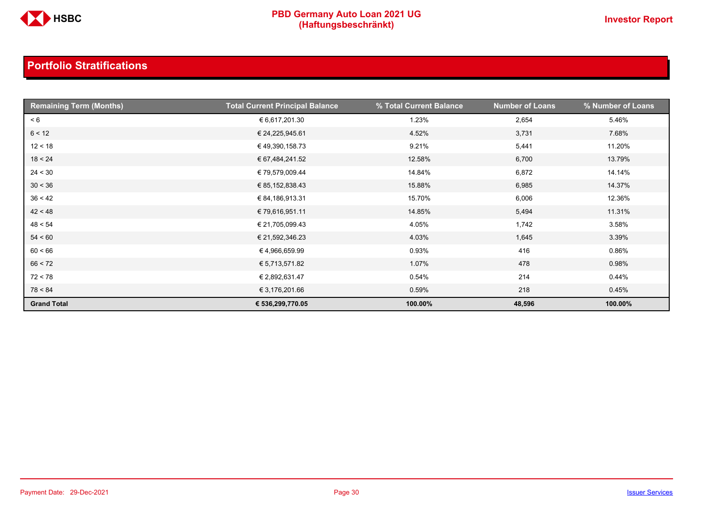

| <b>Remaining Term (Months)</b> | <b>Total Current Principal Balance</b> | % Total Current Balance | <b>Number of Loans</b> | % Number of Loans |
|--------------------------------|----------------------------------------|-------------------------|------------------------|-------------------|
| < 6                            | € 6,617,201.30                         | 1.23%                   | 2,654                  | 5.46%             |
| 6 < 12                         | € 24,225,945.61                        | 4.52%                   | 3,731                  | 7.68%             |
| 12 < 18                        | € 49,390,158.73                        | 9.21%                   | 5,441                  | 11.20%            |
| 18 < 24                        | € 67,484,241.52                        | 12.58%                  | 6,700                  | 13.79%            |
| 24 < 30                        | € 79,579,009.44                        | 14.84%                  | 6,872                  | 14.14%            |
| 30 < 36                        | € 85,152,838.43                        | 15.88%                  | 6,985                  | 14.37%            |
| 36 < 42                        | € 84,186,913.31                        | 15.70%                  | 6,006                  | 12.36%            |
| 42 < 48                        | € 79,616,951.11                        | 14.85%                  | 5,494                  | 11.31%            |
| 48 < 54                        | € 21,705,099.43                        | 4.05%                   | 1,742                  | 3.58%             |
| 54 < 60                        | € 21,592,346.23                        | 4.03%                   | 1,645                  | 3.39%             |
| 60 < 66                        | €4,966,659.99                          | 0.93%                   | 416                    | 0.86%             |
| 66 < 72                        | € 5,713,571.82                         | 1.07%                   | 478                    | 0.98%             |
| 72 < 78                        | € 2,892,631.47                         | 0.54%                   | 214                    | 0.44%             |
| 78 < 84                        | € 3,176,201.66                         | 0.59%                   | 218                    | 0.45%             |
| <b>Grand Total</b>             | € 536,299,770.05                       | 100.00%                 | 48,596                 | 100.00%           |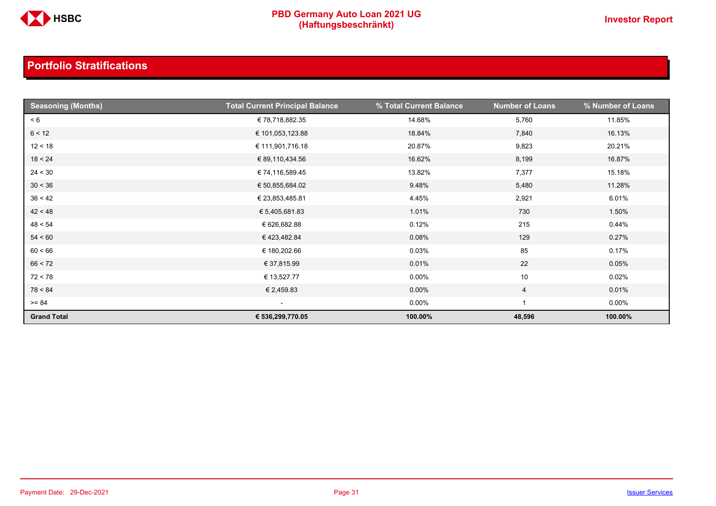

| <b>Seasoning (Months)</b> | <b>Total Current Principal Balance</b> | % Total Current Balance | <b>Number of Loans</b> | % Number of Loans |
|---------------------------|----------------------------------------|-------------------------|------------------------|-------------------|
| < 6                       | € 78,718,882.35                        | 14.68%                  | 5,760                  | 11.85%            |
| 6 < 12                    | € 101,053,123.88                       | 18.84%                  | 7,840                  | 16.13%            |
| 12 < 18                   | € 111,901,716.18                       | 20.87%                  | 9,823                  | 20.21%            |
| 18 < 24                   | € 89,110,434.56                        | 16.62%                  | 8,199                  | 16.87%            |
| 24 < 30                   | € 74,116,589.45                        | 13.82%                  | 7,377                  | 15.18%            |
| 30 < 36                   | € 50,855,684.02                        | 9.48%                   | 5,480                  | 11.28%            |
| 36 < 42                   | € 23,853,485.81                        | 4.45%                   | 2,921                  | 6.01%             |
| 42 < 48                   | € 5,405,681.83                         | 1.01%                   | 730                    | 1.50%             |
| 48 < 54                   | € 626,682.88                           | 0.12%                   | 215                    | 0.44%             |
| 54 < 60                   | €423,482.84                            | 0.08%                   | 129                    | 0.27%             |
| 60 < 66                   | € 180,202.66                           | 0.03%                   | 85                     | 0.17%             |
| 66 < 72                   | € 37,815.99                            | 0.01%                   | 22                     | 0.05%             |
| 72 < 78                   | € 13,527.77                            | $0.00\%$                | 10                     | 0.02%             |
| 78 < 84                   | € 2,459.83                             | $0.00\%$                | $\overline{4}$         | 0.01%             |
| $>= 84$                   | $\overline{\phantom{a}}$               | $0.00\%$                |                        | $0.00\%$          |
| <b>Grand Total</b>        | € 536,299,770.05                       | 100.00%                 | 48,596                 | 100.00%           |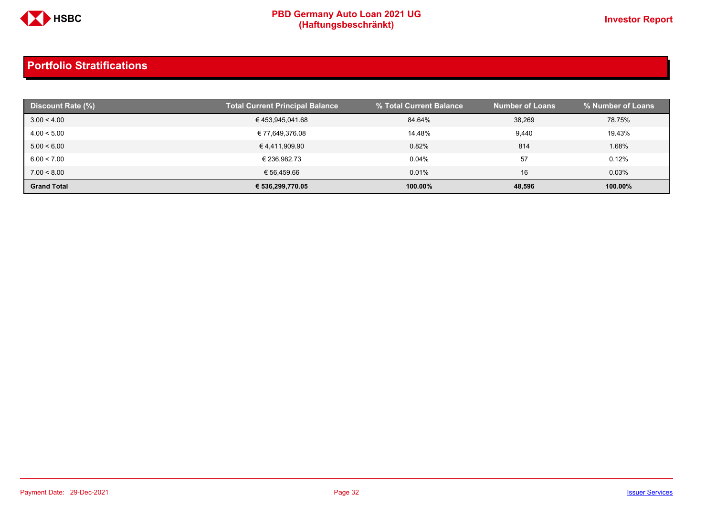

| Discount Rate (%)  | <b>Total Current Principal Balance</b> | % Total Current Balance | <b>Number of Loans</b> | Ⅰ % Number of Loans <sup>।</sup> |
|--------------------|----------------------------------------|-------------------------|------------------------|----------------------------------|
| 3.00 < 4.00        | €453,945,041.68                        | 84.64%                  | 38.269                 | 78.75%                           |
| 4.00 < 5.00        | € 77,649,376.08                        | 14.48%                  | 9,440                  | 19.43%                           |
| 5.00 < 6.00        | € 4,411,909.90                         | 0.82%                   | 814                    | 1.68%                            |
| 6.00 < 7.00        | € 236.982.73                           | 0.04%                   | 57                     | 0.12%                            |
| 7.00 < 8.00        | € 56,459.66                            | 0.01%                   | 16                     | 0.03%                            |
| <b>Grand Total</b> | € 536,299,770.05                       | 100.00%                 | 48,596                 | 100.00%                          |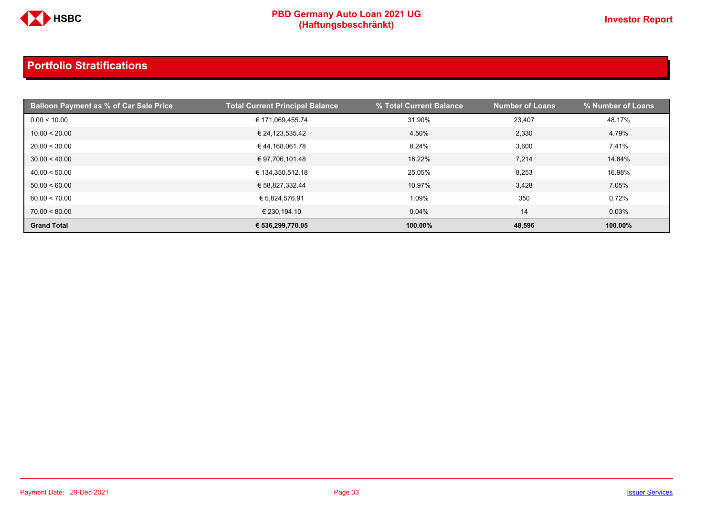

| <b>Balloon Payment as % of Car Sale Price</b> | <b>Total Current Principal Balance</b> | % Total Current Balance | <b>Number of Loans</b> | % Number of Loans |
|-----------------------------------------------|----------------------------------------|-------------------------|------------------------|-------------------|
| 0.00 < 10.00                                  | € 171,069,455.74                       | 31.90%                  | 23,407                 | 48.17%            |
| 10.00 < 20.00                                 | € 24,123,535.42                        | 4.50%                   | 2,330                  | 4.79%             |
| 20.00 < 30.00                                 | € 44,168,061.78                        | 8.24%                   | 3,600                  | 7.41%             |
| 30.00 < 40.00                                 | € 97,706,101.48                        | 18.22%                  | 7,214                  | 14.84%            |
| 40.00 < 50.00                                 | € 134,350,512.18                       | 25.05%                  | 8,253                  | 16.98%            |
| 50.00 < 60.00                                 | € 58,827,332.44                        | 10.97%                  | 3,428                  | 7.05%             |
| 60.00 < 70.00                                 | € 5,824,576.91                         | 1.09%                   | 350                    | 0.72%             |
| 70.00 < 80.00                                 | € 230,194.10                           | 0.04%                   | 14                     | 0.03%             |
| <b>Grand Total</b>                            | € 536,299,770.05                       | 100.00%                 | 48,596                 | 100.00%           |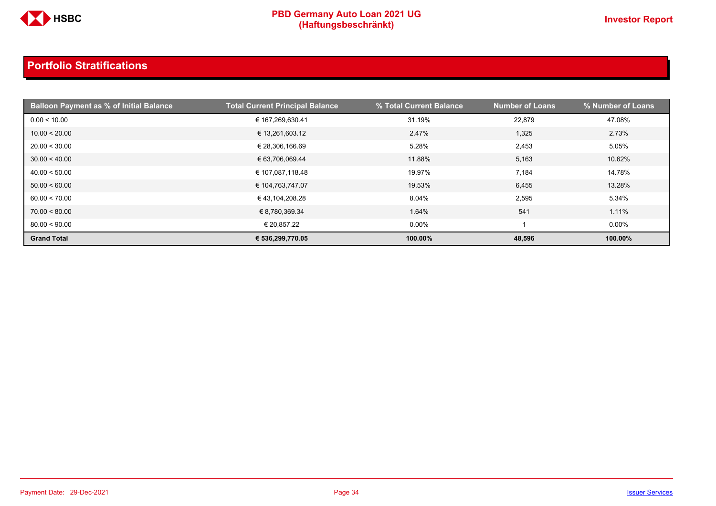

| <b>Balloon Payment as % of Initial Balance</b> | <b>Total Current Principal Balance</b> | % Total Current Balance | <b>Number of Loans</b> | % Number of Loans |
|------------------------------------------------|----------------------------------------|-------------------------|------------------------|-------------------|
| 0.00 < 10.00                                   | € 167,269,630.41                       | 31.19%                  | 22,879                 | 47.08%            |
| 10.00 < 20.00                                  | € 13,261,603.12                        | 2.47%                   | 1,325                  | 2.73%             |
| 20.00 < 30.00                                  | € 28,306,166.69                        | 5.28%                   | 2,453                  | 5.05%             |
| 30.00 < 40.00                                  | € 63,706,069.44                        | 11.88%                  | 5,163                  | 10.62%            |
| 40.00 < 50.00                                  | € 107,087,118.48                       | 19.97%                  | 7,184                  | 14.78%            |
| 50.00 < 60.00                                  | € 104,763,747.07                       | 19.53%                  | 6,455                  | 13.28%            |
| 60.00 < 70.00                                  | € 43,104,208.28                        | 8.04%                   | 2,595                  | 5.34%             |
| 70.00 < 80.00                                  | € 8,780,369.34                         | 1.64%                   | 541                    | 1.11%             |
| 80.00 < 90.00                                  | € 20,857.22                            | $0.00\%$                |                        | $0.00\%$          |
| <b>Grand Total</b>                             | € 536,299,770.05                       | 100.00%                 | 48,596                 | 100.00%           |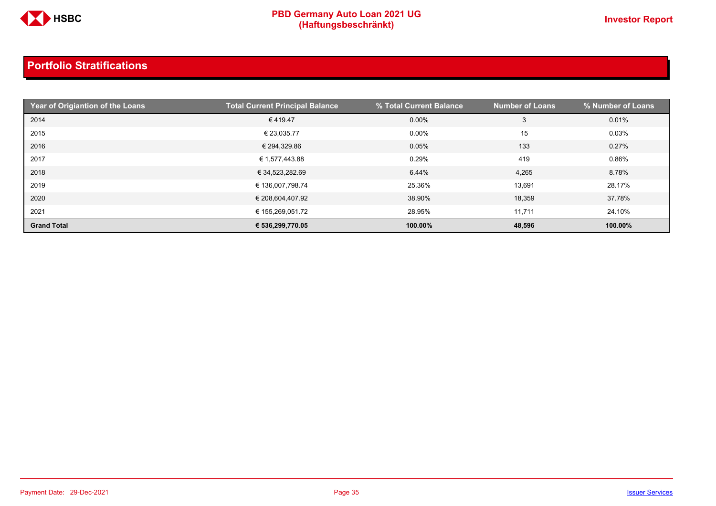

| Year of Origiantion of the Loans | <b>Total Current Principal Balance</b> | % Total Current Balance | <b>Number of Loans</b> | % Number of Loans |
|----------------------------------|----------------------------------------|-------------------------|------------------------|-------------------|
| 2014                             | €419.47                                | $0.00\%$                | 3                      | 0.01%             |
| 2015                             | € 23,035.77                            | $0.00\%$                | 15                     | 0.03%             |
| 2016                             | € 294,329.86                           | 0.05%                   | 133                    | 0.27%             |
| 2017                             | € 1,577,443.88                         | 0.29%                   | 419                    | 0.86%             |
| 2018                             | € 34,523,282.69                        | 6.44%                   | 4,265                  | 8.78%             |
| 2019                             | € 136,007,798.74                       | 25.36%                  | 13,691                 | 28.17%            |
| 2020                             | € 208,604,407.92                       | 38.90%                  | 18,359                 | 37.78%            |
| 2021                             | € 155.269.051.72                       | 28.95%                  | 11,711                 | 24.10%            |
| <b>Grand Total</b>               | € 536,299,770.05                       | 100.00%                 | 48,596                 | 100.00%           |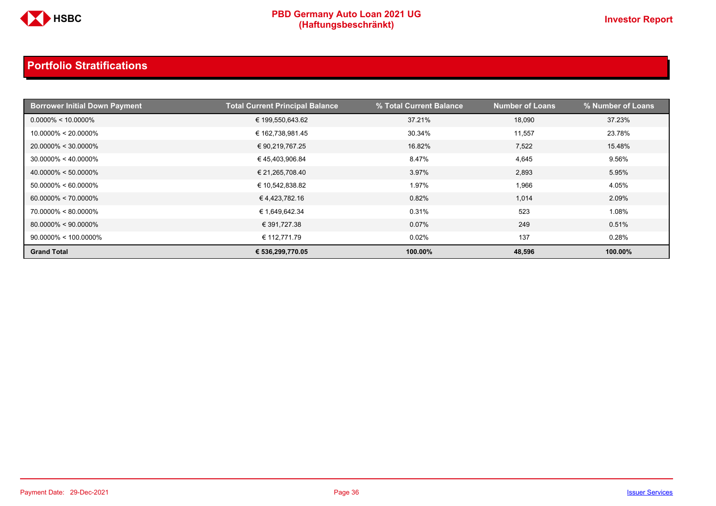

| <b>Borrower Initial Down Payment</b> | <b>Total Current Principal Balance</b> | % Total Current Balance | <b>Number of Loans</b> | <b>% Number of Loans</b> |
|--------------------------------------|----------------------------------------|-------------------------|------------------------|--------------------------|
| $0.0000\% < 10.0000\%$               | € 199,550,643.62                       | 37.21%                  | 18,090                 | 37.23%                   |
| $10.0000\% < 20.0000\%$              | € 162,738,981.45                       | 30.34%                  | 11,557                 | 23.78%                   |
| $20.0000\% < 30.0000\%$              | € 90,219,767.25                        | 16.82%                  | 7,522                  | 15.48%                   |
| $30.0000\% < 40.0000\%$              | €45,403,906.84                         | 8.47%                   | 4,645                  | 9.56%                    |
| $40.0000\% < 50.0000\%$              | € 21,265,708.40                        | 3.97%                   | 2,893                  | 5.95%                    |
| $50.0000\% < 60.0000\%$              | € 10,542,838.82                        | 1.97%                   | 1,966                  | 4.05%                    |
| $60.0000\% < 70.0000\%$              | €4,423,782.16                          | 0.82%                   | 1,014                  | 2.09%                    |
| 70.0000% < 80.0000%                  | € 1,649,642.34                         | 0.31%                   | 523                    | 1.08%                    |
| $80.0000\% < 90.0000\%$              | € 391,727.38                           | 0.07%                   | 249                    | 0.51%                    |
| $90.0000\% < 100.0000\%$             | € 112,771.79                           | 0.02%                   | 137                    | 0.28%                    |
| <b>Grand Total</b>                   | € 536,299,770.05                       | 100.00%                 | 48,596                 | 100.00%                  |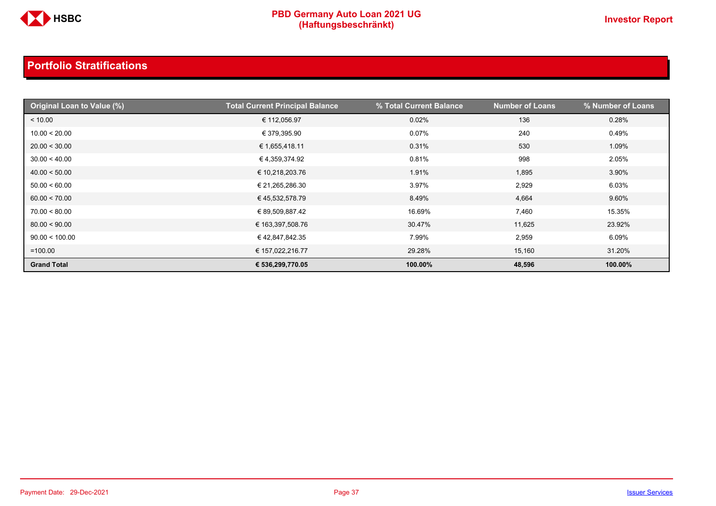

| Original Loan to Value (%) | <b>Total Current Principal Balance</b> | % Total Current Balance | <b>Number of Loans</b> | % Number of Loans |
|----------------------------|----------------------------------------|-------------------------|------------------------|-------------------|
| < 10.00                    | € 112,056.97                           | 0.02%                   | 136                    | 0.28%             |
| 10.00 < 20.00              | € 379,395.90                           | 0.07%                   | 240                    | 0.49%             |
| 20.00 < 30.00              | € 1,655,418.11                         | 0.31%                   | 530                    | 1.09%             |
| 30.00 < 40.00              | € 4,359,374.92                         | 0.81%                   | 998                    | 2.05%             |
| 40.00 < 50.00              | € 10,218,203.76                        | 1.91%                   | 1,895                  | 3.90%             |
| 50.00 < 60.00              | € 21,265,286.30                        | 3.97%                   | 2,929                  | 6.03%             |
| 60.00 < 70.00              | € 45,532,578.79                        | 8.49%                   | 4,664                  | 9.60%             |
| 70.00 < 80.00              | € 89,509,887.42                        | 16.69%                  | 7,460                  | 15.35%            |
| 80.00 < 90.00              | € 163,397,508.76                       | 30.47%                  | 11,625                 | 23.92%            |
| 90.00 < 100.00             | €42,847,842.35                         | 7.99%                   | 2,959                  | 6.09%             |
| $=100.00$                  | € 157,022,216.77                       | 29.28%                  | 15,160                 | 31.20%            |
| <b>Grand Total</b>         | € 536,299,770.05                       | 100.00%                 | 48,596                 | 100.00%           |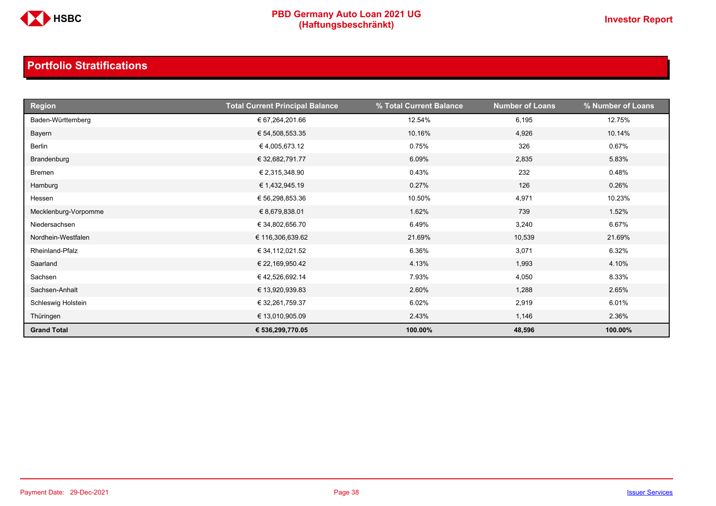

| <b>Region</b>        | <b>Total Current Principal Balance</b> | % Total Current Balance | <b>Number of Loans</b> | % Number of Loans |
|----------------------|----------------------------------------|-------------------------|------------------------|-------------------|
| Baden-Württemberg    | € 67,264,201.66                        | 12.54%                  | 6,195                  | 12.75%            |
| Bayern               | € 54,508,553.35                        | 10.16%                  | 4,926                  | 10.14%            |
| Berlin               | €4,005,673.12                          | 0.75%                   | 326                    | 0.67%             |
| Brandenburg          | € 32,682,791.77                        | 6.09%                   | 2,835                  | 5.83%             |
| Bremen               | € 2,315,348.90                         | 0.43%                   | 232                    | 0.48%             |
| Hamburg              | € 1,432,945.19                         | 0.27%                   | 126                    | 0.26%             |
| Hessen               | € 56,298,853.36                        | 10.50%                  | 4,971                  | 10.23%            |
| Mecklenburg-Vorpomme | € 8,679,838.01                         | 1.62%                   | 739                    | 1.52%             |
| Niedersachsen        | € 34,802,656.70                        | 6.49%                   | 3,240                  | 6.67%             |
| Nordhein-Westfalen   | € 116,306,639.62                       | 21.69%                  | 10,539                 | 21.69%            |
| Rheinland-Pfalz      | € 34,112,021.52                        | 6.36%                   | 3,071                  | 6.32%             |
| Saarland             | € 22,169,950.42                        | 4.13%                   | 1,993                  | 4.10%             |
| Sachsen              | €42,526,692.14                         | 7.93%                   | 4,050                  | 8.33%             |
| Sachsen-Anhalt       | € 13,920,939.83                        | 2.60%                   | 1,288                  | 2.65%             |
| Schleswig Holstein   | € 32,261,759.37                        | 6.02%                   | 2,919                  | 6.01%             |
| Thüringen            | € 13,010,905.09                        | 2.43%                   | 1,146                  | 2.36%             |
| <b>Grand Total</b>   | € 536,299,770.05                       | 100.00%                 | 48,596                 | 100.00%           |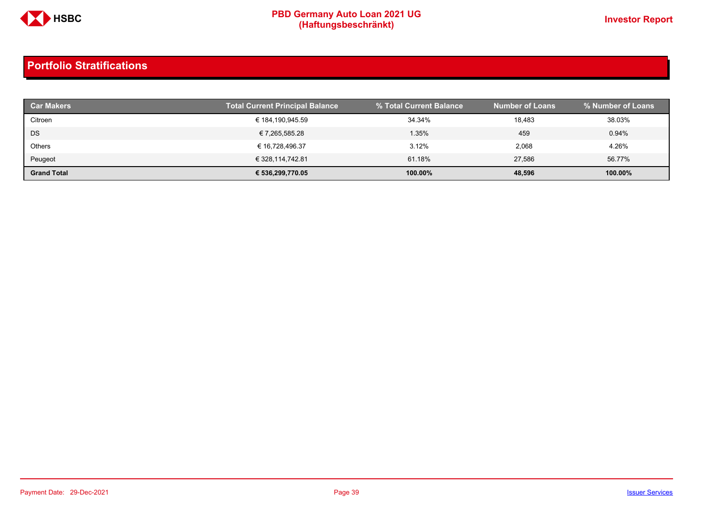

| <b>Car Makers</b>  | <b>Total Current Principal Balance</b> | % Total Current Balance | <b>Number of Loans</b> | % Number of Loans |
|--------------------|----------------------------------------|-------------------------|------------------------|-------------------|
| Citroen            | € 184,190,945.59                       | 34.34%                  | 18,483                 | 38.03%            |
| DS                 | € 7,265,585.28                         | 1.35%                   | 459                    | 0.94%             |
| <b>Others</b>      | € 16,728,496.37                        | 3.12%                   | 2,068                  | 4.26%             |
| Peugeot            | € 328,114,742.81                       | 61.18%                  | 27.586                 | 56.77%            |
| <b>Grand Total</b> | € 536,299,770.05                       | 100.00%                 | 48,596                 | 100.00%           |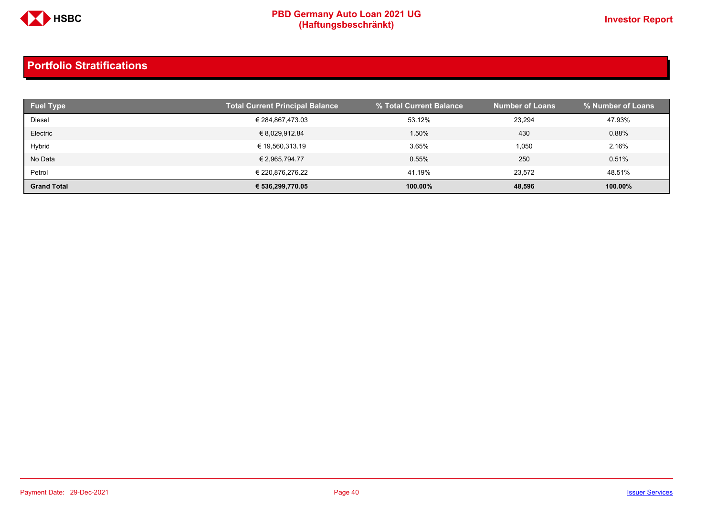

| <b>Fuel Type</b>   | <b>Total Current Principal Balance</b> | % Total Current Balance | <b>Number of Loans</b> | % Number of Loans |
|--------------------|----------------------------------------|-------------------------|------------------------|-------------------|
| Diesel             | € 284,867,473.03                       | 53.12%                  | 23,294                 | 47.93%            |
| Electric           | € 8,029,912.84                         | 1.50%                   | 430                    | 0.88%             |
| Hybrid             | € 19,560,313.19                        | 3.65%                   | 1,050                  | 2.16%             |
| No Data            | € 2,965,794.77                         | 0.55%                   | 250                    | 0.51%             |
| Petrol             | € 220,876,276.22                       | 41.19%                  | 23.572                 | 48.51%            |
| <b>Grand Total</b> | € 536,299,770.05                       | 100.00%                 | 48,596                 | 100.00%           |